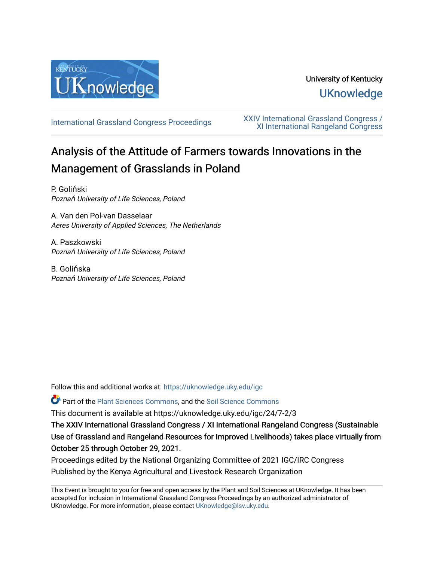

## University of Kentucky **UKnowledge**

[International Grassland Congress Proceedings](https://uknowledge.uky.edu/igc) [XXIV International Grassland Congress /](https://uknowledge.uky.edu/igc/24)  [XI International Rangeland Congress](https://uknowledge.uky.edu/igc/24) 

# Analysis of the Attitude of Farmers towards Innovations in the Management of Grasslands in Poland

P. Goliński Poznań University of Life Sciences, Poland

A. Van den Pol-van Dasselaar Aeres University of Applied Sciences, The Netherlands

A. Paszkowski Poznań University of Life Sciences, Poland

B. Golińska Poznań University of Life Sciences, Poland

Follow this and additional works at: [https://uknowledge.uky.edu/igc](https://uknowledge.uky.edu/igc?utm_source=uknowledge.uky.edu%2Figc%2F24%2F7-2%2F3&utm_medium=PDF&utm_campaign=PDFCoverPages) 

Part of the [Plant Sciences Commons](http://network.bepress.com/hgg/discipline/102?utm_source=uknowledge.uky.edu%2Figc%2F24%2F7-2%2F3&utm_medium=PDF&utm_campaign=PDFCoverPages), and the [Soil Science Commons](http://network.bepress.com/hgg/discipline/163?utm_source=uknowledge.uky.edu%2Figc%2F24%2F7-2%2F3&utm_medium=PDF&utm_campaign=PDFCoverPages) 

This document is available at https://uknowledge.uky.edu/igc/24/7-2/3

The XXIV International Grassland Congress / XI International Rangeland Congress (Sustainable Use of Grassland and Rangeland Resources for Improved Livelihoods) takes place virtually from October 25 through October 29, 2021.

Proceedings edited by the National Organizing Committee of 2021 IGC/IRC Congress Published by the Kenya Agricultural and Livestock Research Organization

This Event is brought to you for free and open access by the Plant and Soil Sciences at UKnowledge. It has been accepted for inclusion in International Grassland Congress Proceedings by an authorized administrator of UKnowledge. For more information, please contact [UKnowledge@lsv.uky.edu](mailto:UKnowledge@lsv.uky.edu).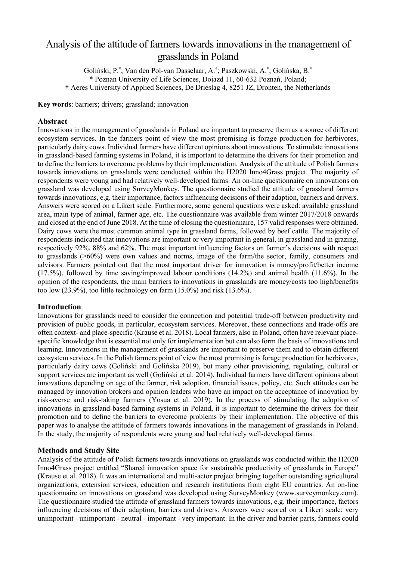### Analysis of the attitude of farmers towards innovations in the management of grasslands in Poland

Goliński, P.\* ; Van den Pol-van Dasselaar, A.† ; Paszkowski, A.\* ; Golińska, B.\* \* Poznan University of Life Sciences, Dojazd 11, 60-632 Poznań, Poland; † Aeres University of Applied Sciences, De Drieslag 4, 8251 JZ, Dronten, the Netherlands

**Key words**: barriers; drivers; grassland; innovation

#### **Abstract**

Innovations in the management of grasslands in Poland are important to preserve them as a source of different ecosystem services. In the farmers point of view the most promising is forage production for herbivores, particularly dairy cows. Individual farmers have different opinions about innovations. To stimulate innovations in grassland-based farming systems in Poland, it is important to determine the drivers for their promotion and to define the barriers to overcome problems by their implementation. Analysis of the attitude of Polish farmers towards innovations on grasslands were conducted within the H2020 Inno4Grass project. The majority of respondents were young and had relatively well-developed farms. An on-line questionnaire on innovations on grassland was developed using SurveyMonkey. The questionnaire studied the attitude of grassland farmers towards innovations, e.g. their importance, factors influencing decisions of their adaption, barriers and drivers. Answers were scored on a Likert scale. Furthermore, some general questions were asked: available grassland area, main type of animal, farmer age, etc. The questionnaire was available from winter 2017/2018 onwards and closed at the end of June 2018. At the time of closing the questionnaire, 157 valid responses were obtained. Dairy cows were the most common animal type in grassland farms, followed by beef cattle. The majority of respondents indicated that innovations are important or very important in general, in grassland and in grazing, respectively 92%, 88% and 62%. The most important influencing factors on farmer's decisions with respect to grasslands (>60%) were own values and norms, image of the farm/the sector, family, consumers and advisors. Farmers pointed out that the most important driver for innovation is money/profit/better income (17.5%), followed by time saving/improved labour conditions (14.2%) and animal health (11.6%). In the opinion of the respondents, the main barriers to innovations in grasslands are money/costs too high/benefits too low (23.9%), too little technology on farm (15.0%) and risk (13.6%).

#### **Introduction**

Innovations for grasslands need to consider the connection and potential trade-off between productivity and provision of public goods, in particular, ecosystem services. Moreover, these connections and trade-offs are often context- and place-specific (Krause et al. 2018). Local farmers, also in Poland, often have relevant placespecific knowledge that is essential not only for implementation but can also form the basis of innovations and learning. Innovations in the management of grasslands are important to preserve them and to obtain different ecosystem services. In the Polish farmers point of view the most promising is forage production for herbivores, particularly dairy cows (Goliński and Golińska 2019), but many other provisioning, regulating, cultural or support services are important as well (Goliński et al. 2014). Individual farmers have different opinions about innovations depending on age of the farmer, risk adoption, financial issues, policy, etc. Such attitudes can be managed by innovation brokers and opinion leaders who have an impact on the acceptance of innovation by risk-averse and risk-taking farmers (Yosua et al. 2019). In the process of stimulating the adoption of innovations in grassland-based farming systems in Poland, it is important to determine the drivers for their promotion and to define the barriers to overcome problems by their implementation. The objective of this paper was to analyse the attitude of farmers towards innovations in the management of grasslands in Poland. In the study, the majority of respondents were young and had relatively well-developed farms.

#### **Methods and Study Site**

Analysis of the attitude of Polish farmers towards innovations on grasslands was conducted within the H2020 Inno4Grass project entitled "Shared innovation space for sustainable productivity of grasslands in Europe" (Krause et al. 2018). It was an international and multi-actor project bringing together outstanding agricultural organizations, extension services, education and research institutions from eight EU countries. An on-line questionnaire on innovations on grassland was developed using SurveyMonkey (www.surveymonkey.com). The questionnaire studied the attitude of grassland farmers towards innovations, e.g. their importance, factors influencing decisions of their adaption, barriers and drivers. Answers were scored on a Likert scale: very unimportant - unimportant - neutral - important - very important. In the driver and barrier parts, farmers could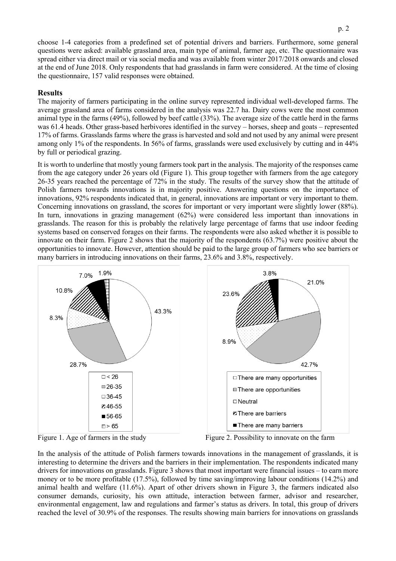choose 1-4 categories from a predefined set of potential drivers and barriers. Furthermore, some general questions were asked: available grassland area, main type of animal, farmer age, etc. The questionnaire was spread either via direct mail or via social media and was available from winter 2017/2018 onwards and closed at the end of June 2018. Only respondents that had grasslands in farm were considered. At the time of closing the questionnaire, 157 valid responses were obtained.

#### **Results**

The majority of farmers participating in the online survey represented individual well-developed farms. The average grassland area of farms considered in the analysis was 22.7 ha. Dairy cows were the most common animal type in the farms (49%), followed by beef cattle (33%). The average size of the cattle herd in the farms was 61.4 heads. Other grass-based herbivores identified in the survey – horses, sheep and goats – represented 17% of farms. Grasslands farms where the grass is harvested and sold and not used by any animal were present among only 1% of the respondents. In 56% of farms, grasslands were used exclusively by cutting and in 44% by full or periodical grazing.

It is worth to underline that mostly young farmers took part in the analysis. The majority of the responses came from the age category under 26 years old (Figure 1). This group together with farmers from the age category 26-35 years reached the percentage of 72% in the study. The results of the survey show that the attitude of Polish farmers towards innovations is in majority positive. Answering questions on the importance of innovations, 92% respondents indicated that, in general, innovations are important or very important to them. Concerning innovations on grassland, the scores for important or very important were slightly lower (88%). In turn, innovations in grazing management (62%) were considered less important than innovations in grasslands. The reason for this is probably the relatively large percentage of farms that use indoor feeding systems based on conserved forages on their farms. The respondents were also asked whether it is possible to innovate on their farm. Figure 2 shows that the majority of the respondents (63.7%) were positive about the opportunities to innovate. However, attention should be paid to the large group of farmers who see barriers or many barriers in introducing innovations on their farms, 23.6% and 3.8%, respectively.





In the analysis of the attitude of Polish farmers towards innovations in the management of grasslands, it is interesting to determine the drivers and the barriers in their implementation. The respondents indicated many drivers for innovations on grasslands. Figure 3 shows that most important were financial issues – to earn more money or to be more profitable (17.5%), followed by time saving/improving labour conditions (14.2%) and animal health and welfare (11.6%). Apart of other drivers shown in Figure 3, the farmers indicated also consumer demands, curiosity, his own attitude, interaction between farmer, advisor and researcher, environmental engagement, law and regulations and farmer's status as drivers. In total, this group of drivers reached the level of 30.9% of the responses. The results showing main barriers for innovations on grasslands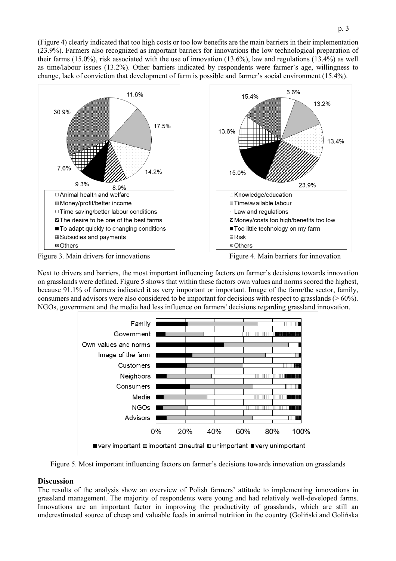(Figure 4) clearly indicated that too high costs or too low benefits are the main barriers in their implementation (23.9%). Farmers also recognized as important barriers for innovations the low technological preparation of their farms (15.0%), risk associated with the use of innovation (13.6%), law and regulations (13.4%) as well as time/labour issues (13.2%). Other barriers indicated by respondents were farmer's age, willingness to change, lack of conviction that development of farm is possible and farmer's social environment (15.4%).



Next to drivers and barriers, the most important influencing factors on farmer's decisions towards innovation on grasslands were defined. Figure 5 shows that within these factors own values and norms scored the highest, because 91.1% of farmers indicated it as very important or important. Image of the farm/the sector, family, consumers and advisors were also considered to be important for decisions with respect to grasslands (> 60%). NGOs, government and the media had less influence on farmers' decisions regarding grassland innovation.



Figure 5. Most important influencing factors on farmer's decisions towards innovation on grasslands

#### **Discussion**

The results of the analysis show an overview of Polish farmers' attitude to implementing innovations in grassland management. The majority of respondents were young and had relatively well-developed farms. Innovations are an important factor in improving the productivity of grasslands, which are still an underestimated source of cheap and valuable feeds in animal nutrition in the country (Goliński and Golińska